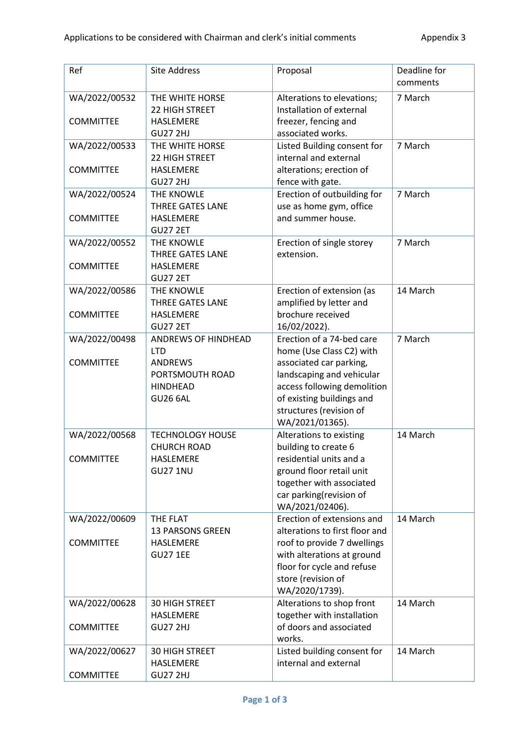| Ref              | Site Address            | Proposal                       | Deadline for<br>comments |
|------------------|-------------------------|--------------------------------|--------------------------|
| WA/2022/00532    | THE WHITE HORSE         | Alterations to elevations;     | 7 March                  |
|                  | 22 HIGH STREET          | Installation of external       |                          |
| <b>COMMITTEE</b> | <b>HASLEMERE</b>        | freezer, fencing and           |                          |
|                  | <b>GU27 2HJ</b>         | associated works.              |                          |
| WA/2022/00533    | THE WHITE HORSE         | Listed Building consent for    | 7 March                  |
|                  | 22 HIGH STREET          | internal and external          |                          |
| <b>COMMITTEE</b> | HASLEMERE               | alterations; erection of       |                          |
|                  |                         |                                |                          |
|                  | <b>GU27 2HJ</b>         | fence with gate.               |                          |
| WA/2022/00524    | THE KNOWLE              | Erection of outbuilding for    | 7 March                  |
|                  | <b>THREE GATES LANE</b> | use as home gym, office        |                          |
| <b>COMMITTEE</b> | <b>HASLEMERE</b>        | and summer house.              |                          |
|                  | <b>GU27 2ET</b>         |                                |                          |
| WA/2022/00552    | THE KNOWLE              | Erection of single storey      | 7 March                  |
|                  | <b>THREE GATES LANE</b> | extension.                     |                          |
| <b>COMMITTEE</b> | HASLEMERE               |                                |                          |
|                  | <b>GU27 2ET</b>         |                                |                          |
| WA/2022/00586    | THE KNOWLE              | Erection of extension (as      | 14 March                 |
|                  | <b>THREE GATES LANE</b> | amplified by letter and        |                          |
| <b>COMMITTEE</b> | <b>HASLEMERE</b>        | brochure received              |                          |
|                  | <b>GU27 2ET</b>         | 16/02/2022).                   |                          |
| WA/2022/00498    | ANDREWS OF HINDHEAD     | Erection of a 74-bed care      | 7 March                  |
|                  | <b>LTD</b>              | home (Use Class C2) with       |                          |
| <b>COMMITTEE</b> | <b>ANDREWS</b>          | associated car parking,        |                          |
|                  | PORTSMOUTH ROAD         | landscaping and vehicular      |                          |
|                  | <b>HINDHEAD</b>         | access following demolition    |                          |
|                  | <b>GU26 6AL</b>         | of existing buildings and      |                          |
|                  |                         | structures (revision of        |                          |
|                  |                         | WA/2021/01365).                |                          |
| WA/2022/00568    | <b>TECHNOLOGY HOUSE</b> | Alterations to existing        | 14 March                 |
|                  | <b>CHURCH ROAD</b>      | building to create 6           |                          |
| <b>COMMITTEE</b> | HASLEMERE               | residential units and a        |                          |
|                  | <b>GU27 1NU</b>         | ground floor retail unit       |                          |
|                  |                         |                                |                          |
|                  |                         | together with associated       |                          |
|                  |                         | car parking(revision of        |                          |
|                  |                         | WA/2021/02406).                |                          |
| WA/2022/00609    | THE FLAT                | Erection of extensions and     | 14 March                 |
|                  | <b>13 PARSONS GREEN</b> | alterations to first floor and |                          |
| <b>COMMITTEE</b> | HASLEMERE               | roof to provide 7 dwellings    |                          |
|                  | <b>GU27 1EE</b>         | with alterations at ground     |                          |
|                  |                         | floor for cycle and refuse     |                          |
|                  |                         | store (revision of             |                          |
|                  |                         | WA/2020/1739).                 |                          |
| WA/2022/00628    | <b>30 HIGH STREET</b>   | Alterations to shop front      | 14 March                 |
|                  | HASLEMERE               | together with installation     |                          |
| <b>COMMITTEE</b> | <b>GU27 2HJ</b>         | of doors and associated        |                          |
|                  |                         | works.                         |                          |
| WA/2022/00627    | 30 HIGH STREET          | Listed building consent for    | 14 March                 |
|                  | HASLEMERE               | internal and external          |                          |
| <b>COMMITTEE</b> | <b>GU27 2HJ</b>         |                                |                          |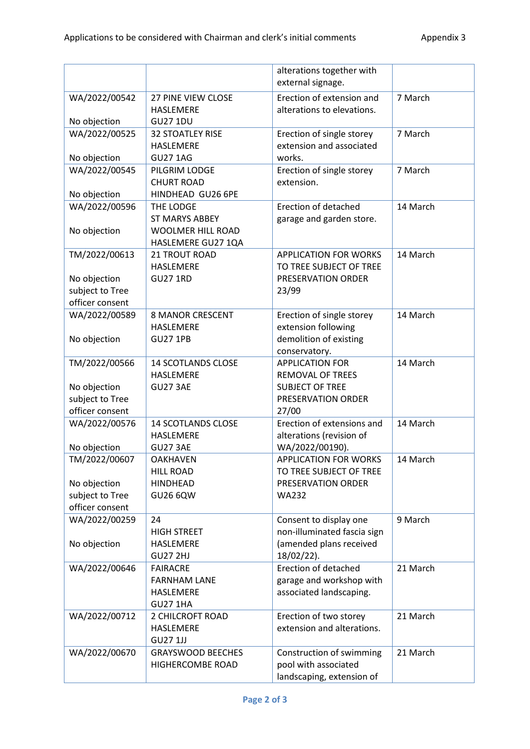|                                    |                                        | alterations together with<br>external signage.          |          |
|------------------------------------|----------------------------------------|---------------------------------------------------------|----------|
| WA/2022/00542                      | <b>27 PINE VIEW CLOSE</b><br>HASLEMERE | Erection of extension and<br>alterations to elevations. | 7 March  |
| No objection                       | <b>GU27 1DU</b>                        |                                                         |          |
| WA/2022/00525                      | <b>32 STOATLEY RISE</b>                | Erection of single storey                               | 7 March  |
|                                    | HASLEMERE                              | extension and associated                                |          |
| No objection                       | <b>GU27 1AG</b>                        | works.                                                  |          |
| WA/2022/00545                      | PILGRIM LODGE                          | Erection of single storey                               | 7 March  |
|                                    | <b>CHURT ROAD</b>                      | extension.                                              |          |
| No objection                       | HINDHEAD GU26 6PE                      |                                                         |          |
| WA/2022/00596                      | THE LODGE                              | Erection of detached                                    | 14 March |
|                                    | <b>ST MARYS ABBEY</b>                  | garage and garden store.                                |          |
| No objection                       | <b>WOOLMER HILL ROAD</b>               |                                                         |          |
|                                    | HASLEMERE GU27 1QA                     |                                                         |          |
| TM/2022/00613                      | 21 TROUT ROAD                          | <b>APPLICATION FOR WORKS</b>                            | 14 March |
|                                    | HASLEMERE                              | TO TREE SUBJECT OF TREE                                 |          |
| No objection                       | <b>GU27 1RD</b>                        | PRESERVATION ORDER                                      |          |
| subject to Tree<br>officer consent |                                        | 23/99                                                   |          |
| WA/2022/00589                      | <b>8 MANOR CRESCENT</b>                | Erection of single storey                               | 14 March |
|                                    | <b>HASLEMERE</b>                       | extension following                                     |          |
| No objection                       | <b>GU27 1PB</b>                        | demolition of existing                                  |          |
|                                    |                                        | conservatory.                                           |          |
| TM/2022/00566                      | <b>14 SCOTLANDS CLOSE</b>              | <b>APPLICATION FOR</b>                                  | 14 March |
|                                    | HASLEMERE                              | REMOVAL OF TREES                                        |          |
| No objection                       | <b>GU27 3AE</b>                        | <b>SUBJECT OF TREE</b>                                  |          |
| subject to Tree                    |                                        | PRESERVATION ORDER                                      |          |
| officer consent                    |                                        | 27/00                                                   |          |
| WA/2022/00576                      | <b>14 SCOTLANDS CLOSE</b>              | Erection of extensions and                              | 14 March |
|                                    | HASLEMERE                              | alterations (revision of                                |          |
| No objection                       | <b>GU27 3AE</b>                        | WA/2022/00190).                                         |          |
| TM/2022/00607                      | <b>OAKHAVEN</b>                        | APPLICATION FOR WORKS                                   | 14 March |
|                                    | <b>HILL ROAD</b>                       | TO TREE SUBJECT OF TREE                                 |          |
| No objection                       | <b>HINDHEAD</b>                        | PRESERVATION ORDER                                      |          |
| subject to Tree                    | <b>GU26 6QW</b>                        | <b>WA232</b>                                            |          |
| officer consent                    |                                        |                                                         |          |
| WA/2022/00259                      | 24                                     | Consent to display one                                  | 9 March  |
|                                    | <b>HIGH STREET</b>                     | non-illuminated fascia sign                             |          |
| No objection                       | HASLEMERE                              | (amended plans received                                 |          |
|                                    | <b>GU27 2HJ</b>                        | 18/02/22).                                              |          |
| WA/2022/00646                      | <b>FAIRACRE</b>                        | Erection of detached                                    | 21 March |
|                                    | <b>FARNHAM LANE</b>                    | garage and workshop with                                |          |
|                                    | HASLEMERE<br><b>GU27 1HA</b>           | associated landscaping.                                 |          |
| WA/2022/00712                      | 2 CHILCROFT ROAD                       | Erection of two storey                                  | 21 March |
|                                    | HASLEMERE                              | extension and alterations.                              |          |
|                                    | <b>GU27 1JJ</b>                        |                                                         |          |
| WA/2022/00670                      | <b>GRAYSWOOD BEECHES</b>               | Construction of swimming                                | 21 March |
|                                    | HIGHERCOMBE ROAD                       | pool with associated                                    |          |
|                                    |                                        | landscaping, extension of                               |          |